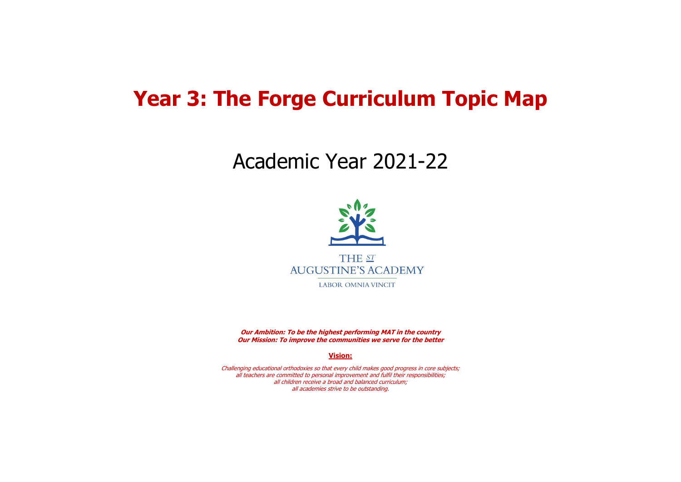## **Year 3: The Forge Curriculum Topic Map**

# Academic Year 2021-22



**Our Ambition: To be the highest performing MAT in the country Our Mission: To improve the communities we serve for the better**

**Vision:**

Challenging educational orthodoxies so that every child makes good progress in core subjects; all teachers are committed to personal improvement and fulfil their responsibilities; all children receive a broad and balanced curriculum; all academies strive to be outstanding.

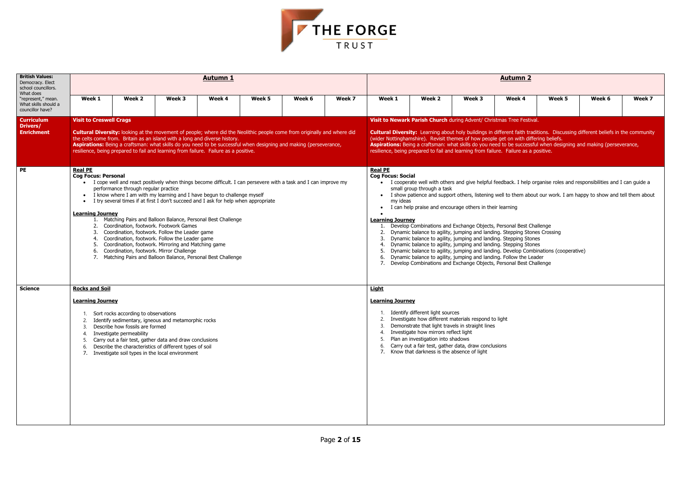

| <b>British Values:</b><br>Democracy. Elect<br>school councillors.<br>What does |                                                                                                                                                                                                                                                                                                                                                                                                                          |                                                                                                                                                                                                                                                                                                                                                                                                                            |        | <b>Autumn 1</b> |        |        |        | <b>Autumn 2</b>                                                                                                                                                                                                                                                                                                                                                                                                                                                                                                                                                            |                                                                                                                                                                                                                                                                                                                                               |        |                                                                                                                                                                                                                                                                                                                                                                                                                                            |        |        |        |  |
|--------------------------------------------------------------------------------|--------------------------------------------------------------------------------------------------------------------------------------------------------------------------------------------------------------------------------------------------------------------------------------------------------------------------------------------------------------------------------------------------------------------------|----------------------------------------------------------------------------------------------------------------------------------------------------------------------------------------------------------------------------------------------------------------------------------------------------------------------------------------------------------------------------------------------------------------------------|--------|-----------------|--------|--------|--------|----------------------------------------------------------------------------------------------------------------------------------------------------------------------------------------------------------------------------------------------------------------------------------------------------------------------------------------------------------------------------------------------------------------------------------------------------------------------------------------------------------------------------------------------------------------------------|-----------------------------------------------------------------------------------------------------------------------------------------------------------------------------------------------------------------------------------------------------------------------------------------------------------------------------------------------|--------|--------------------------------------------------------------------------------------------------------------------------------------------------------------------------------------------------------------------------------------------------------------------------------------------------------------------------------------------------------------------------------------------------------------------------------------------|--------|--------|--------|--|
| "represent," mean.<br>What skills should a<br>councillor have?                 | Week 1                                                                                                                                                                                                                                                                                                                                                                                                                   | Week 2                                                                                                                                                                                                                                                                                                                                                                                                                     | Week 3 | Week 4          | Week 5 | Week 6 | Week 7 | Week 1                                                                                                                                                                                                                                                                                                                                                                                                                                                                                                                                                                     | Week 2                                                                                                                                                                                                                                                                                                                                        | Week 3 | Week 4                                                                                                                                                                                                                                                                                                                                                                                                                                     | Week 5 | Week 6 | Week 7 |  |
| <b>Curriculum</b><br>Drivers/                                                  | <b>Visit to Creswell Crags</b>                                                                                                                                                                                                                                                                                                                                                                                           |                                                                                                                                                                                                                                                                                                                                                                                                                            |        |                 |        |        |        |                                                                                                                                                                                                                                                                                                                                                                                                                                                                                                                                                                            |                                                                                                                                                                                                                                                                                                                                               |        | Visit to Newark Parish Church during Advent/ Christmas Tree Festival.                                                                                                                                                                                                                                                                                                                                                                      |        |        |        |  |
| <b>Enrichment</b>                                                              |                                                                                                                                                                                                                                                                                                                                                                                                                          | <b>Cultural Diversity:</b> looking at the movement of people; where did the Neolithic people come from originally and where did<br>the celts come from. Britain as an island with a long and diverse history.<br>Aspirations: Being a craftsman: what skills do you need to be successful when designing and making (perseverance,<br>resilience, being prepared to fail and learning from failure. Failure as a positive. |        |                 |        |        |        |                                                                                                                                                                                                                                                                                                                                                                                                                                                                                                                                                                            |                                                                                                                                                                                                                                                                                                                                               |        | <b>Cultural Diversity:</b> Learning about holy buildings in different faith traditions. Discussing different beliefs in the community<br>(wider Nottinghamshire). Revisit themes of how people get on with differing beliefs.<br>Aspirations: Being a craftsman: what skills do you need to be successful when designing and making (perseverance,<br>resilience, being prepared to fail and learning from failure. Failure as a positive. |        |        |        |  |
| <b>PE</b>                                                                      | <b>Real PE</b><br><b>Cog Focus: Personal</b>                                                                                                                                                                                                                                                                                                                                                                             | I cope well and react positively when things become difficult. I can persevere with a task and I can improve my<br>performance through regular practice<br>• I know where I am with my learning and I have begun to challenge myself<br>I try several times if at first I don't succeed and I ask for help when appropriate                                                                                                |        |                 |        |        |        | <b>Real PE</b><br><b>Cog Focus: Social</b><br>my ideas<br>$\bullet$                                                                                                                                                                                                                                                                                                                                                                                                                                                                                                        | small group through a task<br>I can help praise and encourage others in their learning                                                                                                                                                                                                                                                        |        | I cooperate well with others and give helpful feedback. I help organise roles and responsibilities and I can guide a<br>• I show patience and support others, listening well to them about our work. I am happy to show and tell them about                                                                                                                                                                                                |        |        |        |  |
|                                                                                | <b>Learning Journey</b><br>Matching Pairs and Balloon Balance, Personal Best Challenge<br>2. Coordination, footwork. Footwork Games<br>Coordination, footwork. Follow the Leader game<br>Coordination, footwork. Follow the Leader game<br>4.<br>Coordination, footwork. Mirroring and Matching game<br>Coordination, footwork. Mirror Challenge<br>6.<br>7. Matching Pairs and Balloon Balance, Personal Best Challenge |                                                                                                                                                                                                                                                                                                                                                                                                                            |        |                 |        |        |        | <b>Learning Journey</b><br>1. Develop Combinations and Exchange Objects, Personal Best Challenge<br>2. Dynamic balance to agility, jumping and landing. Stepping Stones Crossing<br>3. Dynamic balance to agility, jumping and landing. Stepping Stones<br>4. Dynamic balance to agility, jumping and landing. Stepping Stones<br>5. Dynamic balance to agility, jumping and landing. Develop Combinations (cooperative)<br>6. Dynamic balance to agility, jumping and landing. Follow the Leader<br>7. Develop Combinations and Exchange Objects, Personal Best Challenge |                                                                                                                                                                                                                                                                                                                                               |        |                                                                                                                                                                                                                                                                                                                                                                                                                                            |        |        |        |  |
| <b>Science</b>                                                                 | <b>Rocks and Soil</b>                                                                                                                                                                                                                                                                                                                                                                                                    |                                                                                                                                                                                                                                                                                                                                                                                                                            |        |                 |        |        |        | <b>Light</b>                                                                                                                                                                                                                                                                                                                                                                                                                                                                                                                                                               |                                                                                                                                                                                                                                                                                                                                               |        |                                                                                                                                                                                                                                                                                                                                                                                                                                            |        |        |        |  |
|                                                                                | <b>Learning Journey</b><br>Sort rocks according to observations<br>Identify sedimentary, igneous and metamorphic rocks<br>Describe how fossils are formed<br>Investigate permeability<br>Carry out a fair test, gather data and draw conclusions<br>Describe the characteristics of different types of soil<br>-6.<br>7. Investigate soil types in the local environment                                                 |                                                                                                                                                                                                                                                                                                                                                                                                                            |        |                 |        |        |        | <b>Learning Journey</b>                                                                                                                                                                                                                                                                                                                                                                                                                                                                                                                                                    | Identify different light sources<br>2. Investigate how different materials respond to light<br>Demonstrate that light travels in straight lines<br>4. Investigate how mirrors reflect light<br>Plan an investigation into shadows<br>6. Carry out a fair test, gather data, draw conclusions<br>7. Know that darkness is the absence of light |        |                                                                                                                                                                                                                                                                                                                                                                                                                                            |        |        |        |  |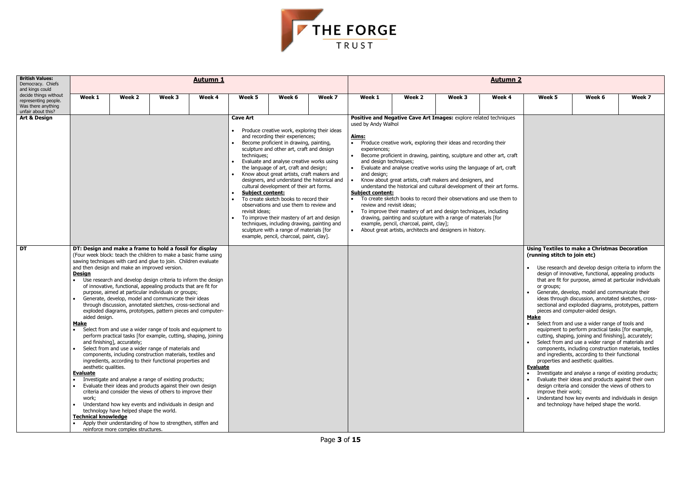

| <b>British Values:</b><br>Democracy. Chiefs<br>and kings could                            |                                                                                                                                                                                                 |                                                                                                                                                               |                                                                                                                                                                                                                                                                                                                                                                                                                                                                                                                                                                                                                                                                                                                                                                                                                                                                                                                                                                                                                | <b>Autumn 1</b> |                                                                             |                                                                                                                                                                                                                                                                                                                                                                                                                                                                                                                                                                                                                                                                                     |        | <b>Autumn 2</b>                                                                                                                                            |                                                                                                                                                                                                                                                                                                                                                                                                                                                                                                                                                                                                                                                                                                                                                        |        |                                                      |                                                                                              |                                                                                                                                                                                                                                                                                                                                                                                                                                                                                                                                                                                                                                                                                                                                                                                                                                                                                                                                                                                                                                             |        |
|-------------------------------------------------------------------------------------------|-------------------------------------------------------------------------------------------------------------------------------------------------------------------------------------------------|---------------------------------------------------------------------------------------------------------------------------------------------------------------|----------------------------------------------------------------------------------------------------------------------------------------------------------------------------------------------------------------------------------------------------------------------------------------------------------------------------------------------------------------------------------------------------------------------------------------------------------------------------------------------------------------------------------------------------------------------------------------------------------------------------------------------------------------------------------------------------------------------------------------------------------------------------------------------------------------------------------------------------------------------------------------------------------------------------------------------------------------------------------------------------------------|-----------------|-----------------------------------------------------------------------------|-------------------------------------------------------------------------------------------------------------------------------------------------------------------------------------------------------------------------------------------------------------------------------------------------------------------------------------------------------------------------------------------------------------------------------------------------------------------------------------------------------------------------------------------------------------------------------------------------------------------------------------------------------------------------------------|--------|------------------------------------------------------------------------------------------------------------------------------------------------------------|--------------------------------------------------------------------------------------------------------------------------------------------------------------------------------------------------------------------------------------------------------------------------------------------------------------------------------------------------------------------------------------------------------------------------------------------------------------------------------------------------------------------------------------------------------------------------------------------------------------------------------------------------------------------------------------------------------------------------------------------------------|--------|------------------------------------------------------|----------------------------------------------------------------------------------------------|---------------------------------------------------------------------------------------------------------------------------------------------------------------------------------------------------------------------------------------------------------------------------------------------------------------------------------------------------------------------------------------------------------------------------------------------------------------------------------------------------------------------------------------------------------------------------------------------------------------------------------------------------------------------------------------------------------------------------------------------------------------------------------------------------------------------------------------------------------------------------------------------------------------------------------------------------------------------------------------------------------------------------------------------|--------|
| decide things without<br>representing people.<br>Was there anything<br>unfair about this? | Week 1                                                                                                                                                                                          | Week 2                                                                                                                                                        | Week 3                                                                                                                                                                                                                                                                                                                                                                                                                                                                                                                                                                                                                                                                                                                                                                                                                                                                                                                                                                                                         | Week 4          | Week 5                                                                      | Week 6                                                                                                                                                                                                                                                                                                                                                                                                                                                                                                                                                                                                                                                                              | Week 7 | Week 1                                                                                                                                                     | Week 2                                                                                                                                                                                                                                                                                                                                                                                                                                                                                                                                                                                                                                                                                                                                                 | Week 3 | Week 4                                               | Week 5                                                                                       | Week 6                                                                                                                                                                                                                                                                                                                                                                                                                                                                                                                                                                                                                                                                                                                                                                                                                                                                                                                                                                                                                                      | Week 7 |
| <b>Art &amp; Design</b>                                                                   | DT: Design and make a frame to hold a fossil for display<br>(Four week block: teach the children to make a basic frame using<br>sawing techniques with card and glue to join. Children evaluate |                                                                                                                                                               |                                                                                                                                                                                                                                                                                                                                                                                                                                                                                                                                                                                                                                                                                                                                                                                                                                                                                                                                                                                                                |                 | <b>Cave Art</b><br>techniques;<br><b>Subject content:</b><br>revisit ideas; | Produce creative work, exploring their ideas<br>and recording their experiences;<br>Become proficient in drawing, painting,<br>sculpture and other art, craft and design<br>Evaluate and analyse creative works using<br>the language of art, craft and design;<br>Know about great artists, craft makers and<br>designers, and understand the historical and<br>cultural development of their art forms.<br>To create sketch books to record their<br>observations and use them to review and<br>To improve their mastery of art and design<br>techniques, including drawing, painting and<br>sculpture with a range of materials [for<br>example, pencil, charcoal, paint, clay]. |        | used by Andy Walhol<br>Aims:<br>experiences;<br>and design techniques;<br>$\bullet$<br>and design;<br><b>Subject content:</b><br>review and revisit ideas; | Positive and Negative Cave Art Images: explore related techniques<br>Produce creative work, exploring their ideas and recording their<br>Become proficient in drawing, painting, sculpture and other art, craft<br>Evaluate and analyse creative works using the language of art, craft<br>Know about great artists, craft makers and designers, and<br>understand the historical and cultural development of their art forms.<br>• To create sketch books to record their observations and use them to<br>To improve their mastery of art and design techniques, including<br>drawing, painting and sculpture with a range of materials [for<br>example, pencil, charcoal, paint, clay];<br>About great artists, architects and designers in history. |        | <b>Using Textiles to make a Christmas Decoration</b> |                                                                                              |                                                                                                                                                                                                                                                                                                                                                                                                                                                                                                                                                                                                                                                                                                                                                                                                                                                                                                                                                                                                                                             |        |
| <b>DT</b>                                                                                 | <b>Design</b><br>aided design.<br><u>Make</u><br>$\bullet$<br>aesthetic qualities.<br><b>Evaluate</b><br>$\bullet$<br>$\bullet$<br>work;<br><b>Technical knowledge</b>                          | and then design and make an improved version.<br>and finishing], accurately;<br>technology have helped shape the world.<br>reinforce more complex structures. | Use research and develop design criteria to inform the design<br>of innovative, functional, appealing products that are fit for<br>purpose, aimed at particular individuals or groups;<br>Generate, develop, model and communicate their ideas<br>through discussion, annotated sketches, cross-sectional and<br>exploded diagrams, prototypes, pattern pieces and computer-<br>Select from and use a wider range of tools and equipment to<br>perform practical tasks [for example, cutting, shaping, joining<br>Select from and use a wider range of materials and<br>components, including construction materials, textiles and<br>ingredients, according to their functional properties and<br>Investigate and analyse a range of existing products;<br>Evaluate their ideas and products against their own design<br>criteria and consider the views of others to improve their<br>Understand how key events and individuals in design and<br>Apply their understanding of how to strengthen, stiffen and |                 |                                                                             |                                                                                                                                                                                                                                                                                                                                                                                                                                                                                                                                                                                                                                                                                     |        |                                                                                                                                                            |                                                                                                                                                                                                                                                                                                                                                                                                                                                                                                                                                                                                                                                                                                                                                        |        |                                                      | (running stitch to join etc)<br>or groups;<br>Make<br><b>Evaluate</b><br>improve their work; | Use research and develop design criteria to inform the<br>design of innovative, functional, appealing products<br>that are fit for purpose, aimed at particular individuals<br>Generate, develop, model and communicate their<br>ideas through discussion, annotated sketches, cross-<br>sectional and exploded diagrams, prototypes, pattern<br>pieces and computer-aided design.<br>• Select from and use a wider range of tools and<br>equipment to perform practical tasks [for example,<br>cutting, shaping, joining and finishing], accurately;<br>Select from and use a wider range of materials and<br>components, including construction materials, textiles<br>and ingredients, according to their functional<br>properties and aesthetic qualities.<br>Investigate and analyse a range of existing products;<br>Evaluate their ideas and products against their own<br>design criteria and consider the views of others to<br>Understand how key events and individuals in design<br>and technology have helped shape the world. |        |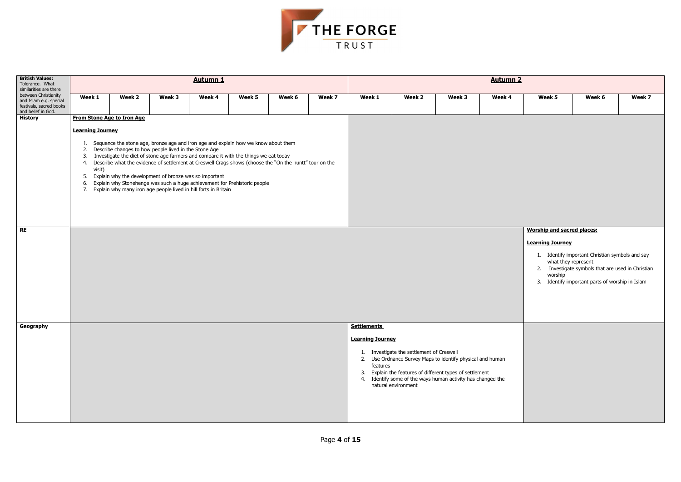| Week 5<br>Week 6<br>Week 7 |  |  |
|----------------------------|--|--|
|                            |  |  |

#### **<u>Worship and sacred places:</u>**



| <b>British Values:</b><br>Tolerance. What<br>similarities are there                             | <b>Autumn 1</b>                                           |                                                                                                                    |        |                                                                                                                                                                                                                                                                                                                                                                                                                                           |        |        |        |                                                           | <b>Autumn 2</b>                                                  |                                                                                                                                                                                       |        |                                                                               |                                                                                                                                                                            |        |  |  |  |
|-------------------------------------------------------------------------------------------------|-----------------------------------------------------------|--------------------------------------------------------------------------------------------------------------------|--------|-------------------------------------------------------------------------------------------------------------------------------------------------------------------------------------------------------------------------------------------------------------------------------------------------------------------------------------------------------------------------------------------------------------------------------------------|--------|--------|--------|-----------------------------------------------------------|------------------------------------------------------------------|---------------------------------------------------------------------------------------------------------------------------------------------------------------------------------------|--------|-------------------------------------------------------------------------------|----------------------------------------------------------------------------------------------------------------------------------------------------------------------------|--------|--|--|--|
| between Christianity<br>and Islam e.g. special<br>festivals, sacred books<br>and belief in God. | Week 1                                                    | Week 2                                                                                                             | Week 3 | Week 4                                                                                                                                                                                                                                                                                                                                                                                                                                    | Week 5 | Week 6 | Week 7 | Week 1                                                    | Week 2                                                           | Week 3                                                                                                                                                                                | Week 4 | Week 5                                                                        | Week 6                                                                                                                                                                     | Week 7 |  |  |  |
| <b>History</b>                                                                                  |                                                           | <b>From Stone Age to Iron Age</b>                                                                                  |        |                                                                                                                                                                                                                                                                                                                                                                                                                                           |        |        |        |                                                           |                                                                  |                                                                                                                                                                                       |        |                                                                               |                                                                                                                                                                            |        |  |  |  |
|                                                                                                 | <b>Learning Journey</b><br>3.<br>visit)<br>5.<br>6.<br>7. | 2. Describe changes to how people lived in the Stone Age<br>Explain why the development of bronze was so important |        | Sequence the stone age, bronze age and iron age and explain how we know about them<br>Investigate the diet of stone age farmers and compare it with the things we eat today<br>4. Describe what the evidence of settlement at Creswell Crags shows (choose the "On the huntt" tour on the<br>Explain why Stonehenge was such a huge achievement for Prehistoric people<br>Explain why many iron age people lived in hill forts in Britain |        |        |        |                                                           |                                                                  |                                                                                                                                                                                       |        |                                                                               |                                                                                                                                                                            |        |  |  |  |
| <b>RE</b>                                                                                       |                                                           |                                                                                                                    |        |                                                                                                                                                                                                                                                                                                                                                                                                                                           |        |        |        |                                                           |                                                                  |                                                                                                                                                                                       |        | <b>Worship and sacred places:</b><br><b>Learning Journey</b><br>2.<br>worship | 1. Identify important Christian symbols and say<br>what they represent<br>Investigate symbols that are used in Christia<br>3. Identify important parts of worship in Islam |        |  |  |  |
| Geography                                                                                       |                                                           |                                                                                                                    |        |                                                                                                                                                                                                                                                                                                                                                                                                                                           |        |        |        | <b>Settlements</b><br><b>Learning Journey</b><br>features | 1. Investigate the settlement of Creswell<br>natural environment | 2. Use Ordnance Survey Maps to identify physical and human<br>3. Explain the features of different types of settlement<br>4. Identify some of the ways human activity has changed the |        |                                                                               |                                                                                                                                                                            |        |  |  |  |

#### **Learning Journey**

- 1. Identify important Christian symbols and say what they represent
- 2. Investigate symbols that are used in Christian worship
- 3. Identify important parts of worship in Islam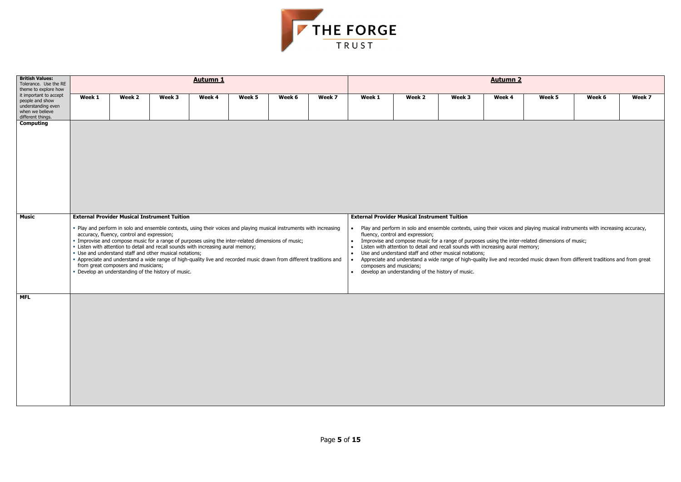| Week 5 | Week 6 | Week 7 |
|--------|--------|--------|
|        |        |        |
|        |        |        |
|        |        |        |



| <b>British Values:</b><br>Tolerance. Use the RE<br>theme to explore how                                 |        |                                                                                                                                                                                                                                                                                                                                                                                                                                                                                                                                                                                                                                                                                                       |        | <b>Autumn 1</b> |        |        |        | <b>Autumn 2</b>                                                 |                                                                                                                                                                                                                                                                                          |        |        |                                                                                                                                                                                                                                                                                                                                                                   |        |        |  |
|---------------------------------------------------------------------------------------------------------|--------|-------------------------------------------------------------------------------------------------------------------------------------------------------------------------------------------------------------------------------------------------------------------------------------------------------------------------------------------------------------------------------------------------------------------------------------------------------------------------------------------------------------------------------------------------------------------------------------------------------------------------------------------------------------------------------------------------------|--------|-----------------|--------|--------|--------|-----------------------------------------------------------------|------------------------------------------------------------------------------------------------------------------------------------------------------------------------------------------------------------------------------------------------------------------------------------------|--------|--------|-------------------------------------------------------------------------------------------------------------------------------------------------------------------------------------------------------------------------------------------------------------------------------------------------------------------------------------------------------------------|--------|--------|--|
| it important to accept<br>people and show<br>understanding even<br>when we believe<br>different things. | Week 1 | Week 2                                                                                                                                                                                                                                                                                                                                                                                                                                                                                                                                                                                                                                                                                                | Week 3 | Week 4          | Week 5 | Week 6 | Week 7 | Week 1                                                          | Week 2                                                                                                                                                                                                                                                                                   | Week 3 | Week 4 | Week 5                                                                                                                                                                                                                                                                                                                                                            | Week 6 | Week 7 |  |
| <b>Computing</b>                                                                                        |        |                                                                                                                                                                                                                                                                                                                                                                                                                                                                                                                                                                                                                                                                                                       |        |                 |        |        |        |                                                                 |                                                                                                                                                                                                                                                                                          |        |        |                                                                                                                                                                                                                                                                                                                                                                   |        |        |  |
| <b>Music</b>                                                                                            |        | <b>External Provider Musical Instrument Tuition</b><br>. Play and perform in solo and ensemble contexts, using their voices and playing musical instruments with increasing<br>accuracy, fluency, control and expression;<br>· Improvise and compose music for a range of purposes using the inter-related dimensions of music;<br>. Listen with attention to detail and recall sounds with increasing aural memory;<br>• Use and understand staff and other musical notations;<br>- Appreciate and understand a wide range of high-quality live and recorded music drawn from different traditions and<br>from great composers and musicians;<br>. Develop an understanding of the history of music. |        |                 |        |        |        | $\bullet$<br>$\bullet$<br>composers and musicians;<br>$\bullet$ | <b>External Provider Musical Instrument Tuition</b><br>fluency, control and expression;<br>Listen with attention to detail and recall sounds with increasing aural memory;<br>Use and understand staff and other musical notations;<br>develop an understanding of the history of music. |        |        | Play and perform in solo and ensemble contexts, using their voices and playing musical instruments with increasing accuracy,<br>Improvise and compose music for a range of purposes using the inter-related dimensions of music;<br>Appreciate and understand a wide range of high-quality live and recorded music drawn from different traditions and from great |        |        |  |
| <b>MFL</b>                                                                                              |        |                                                                                                                                                                                                                                                                                                                                                                                                                                                                                                                                                                                                                                                                                                       |        |                 |        |        |        |                                                                 |                                                                                                                                                                                                                                                                                          |        |        |                                                                                                                                                                                                                                                                                                                                                                   |        |        |  |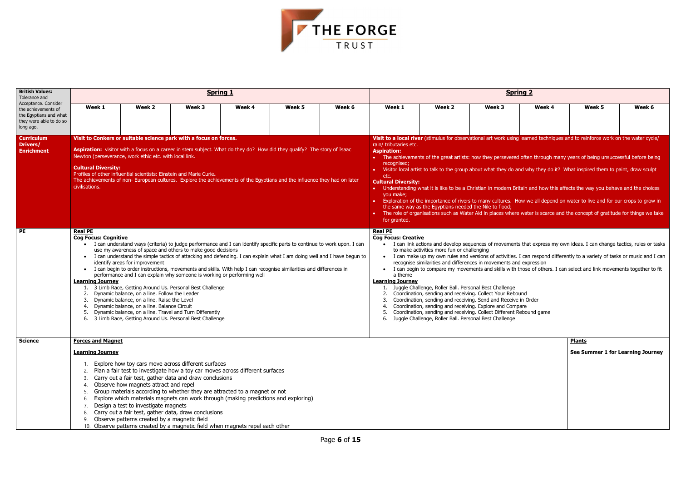

| <b>British Values:</b><br>Tolerance and                                                                       |                                                                                                                                                                                                                                                                                                                                                                                                                                                                                                                                                                                                                                                                                                                                                                                                                                                                                                                                                                                                                                                                                                                                                                                                                                                                                                                                                                                                                                                                                                                 |                                                                                                                                  |                                                                                                                                                                                                                                                                                                                                                                                                                                                                                                                   | <b>Spring 1</b> |        |        | <b>Spring 2</b>                                                                                                                                                                                                                                                                                                                                                                                                                                                                                                                                                                                                                                                                                                                                                                                                                                                                                                                                                                                        |                                                                                                                                                                                                                                                                                                                                                                                                                                                                                                                                                                                                                                                                                                                                                                                                                                                   |        |        |        |        |  |  |
|---------------------------------------------------------------------------------------------------------------|-----------------------------------------------------------------------------------------------------------------------------------------------------------------------------------------------------------------------------------------------------------------------------------------------------------------------------------------------------------------------------------------------------------------------------------------------------------------------------------------------------------------------------------------------------------------------------------------------------------------------------------------------------------------------------------------------------------------------------------------------------------------------------------------------------------------------------------------------------------------------------------------------------------------------------------------------------------------------------------------------------------------------------------------------------------------------------------------------------------------------------------------------------------------------------------------------------------------------------------------------------------------------------------------------------------------------------------------------------------------------------------------------------------------------------------------------------------------------------------------------------------------|----------------------------------------------------------------------------------------------------------------------------------|-------------------------------------------------------------------------------------------------------------------------------------------------------------------------------------------------------------------------------------------------------------------------------------------------------------------------------------------------------------------------------------------------------------------------------------------------------------------------------------------------------------------|-----------------|--------|--------|--------------------------------------------------------------------------------------------------------------------------------------------------------------------------------------------------------------------------------------------------------------------------------------------------------------------------------------------------------------------------------------------------------------------------------------------------------------------------------------------------------------------------------------------------------------------------------------------------------------------------------------------------------------------------------------------------------------------------------------------------------------------------------------------------------------------------------------------------------------------------------------------------------------------------------------------------------------------------------------------------------|---------------------------------------------------------------------------------------------------------------------------------------------------------------------------------------------------------------------------------------------------------------------------------------------------------------------------------------------------------------------------------------------------------------------------------------------------------------------------------------------------------------------------------------------------------------------------------------------------------------------------------------------------------------------------------------------------------------------------------------------------------------------------------------------------------------------------------------------------|--------|--------|--------|--------|--|--|
| Acceptance. Consider<br>the achievements of<br>the Egyptians and what<br>they were able to do so<br>long ago. | Week 1                                                                                                                                                                                                                                                                                                                                                                                                                                                                                                                                                                                                                                                                                                                                                                                                                                                                                                                                                                                                                                                                                                                                                                                                                                                                                                                                                                                                                                                                                                          | Week 2                                                                                                                           | Week 3                                                                                                                                                                                                                                                                                                                                                                                                                                                                                                            | Week 4          | Week 5 | Week 6 | Week 1                                                                                                                                                                                                                                                                                                                                                                                                                                                                                                                                                                                                                                                                                                                                                                                                                                                                                                                                                                                                 | Week 2                                                                                                                                                                                                                                                                                                                                                                                                                                                                                                                                                                                                                                                                                                                                                                                                                                            | Week 3 | Week 4 | Week 5 | Week 6 |  |  |
| <b>Curriculum</b><br>Drivers/<br><b>Enrichment</b>                                                            | Visit to Conkers or suitable science park with a focus on forces.<br>Aspiration: visitor with a focus on a career in stem subject. What do they do? How did they qualify? The story of Isaac<br>Newton (perseverance, work ethic etc. with local link.<br><b>Cultural Diversity:</b><br>Profiles of other influential scientists: Einstein and Marie Curie.<br>The achievements of non- European cultures. Explore the achievements of the Egyptians and the influence they had on later<br>civilisations.<br><b>Real PE</b><br><b>Cog Focus: Cognitive</b><br>I can understand ways (criteria) to judge performance and I can identify specific parts to continue to work upon. I can<br>use my awareness of space and others to make good decisions<br>I can understand the simple tactics of attacking and defending. I can explain what I am doing well and I have begun to<br>$\bullet$<br>identify areas for improvement<br>I can begin to order instructions, movements and skills. With help I can recognise similarities and differences in<br>performance and I can explain why someone is working or performing well<br><b>Learning Journey</b><br>1. 3 Limb Race, Getting Around Us. Personal Best Challenge<br>Dynamic balance, on a line. Follow the Leader<br>2.<br>Dynamic balance, on a line. Raise the Level<br>Dynamic balance, on a line. Balance Circuit<br>4.<br>Dynamic balance, on a line. Travel and Turn Differently<br>5.<br>3 Limb Race, Getting Around Us. Personal Best Challenge |                                                                                                                                  |                                                                                                                                                                                                                                                                                                                                                                                                                                                                                                                   |                 |        |        | rain/ tributaries etc.<br><b>Aspiration:</b><br>recognised;<br>etc.<br><b>Cultural Diversity:</b><br>you make;<br>for granted.                                                                                                                                                                                                                                                                                                                                                                                                                                                                                                                                                                                                                                                                                                                                                                                                                                                                         | Visit to a local river (stimulus for observational art work using learned techniques and to reinforce work on the water cycle/<br>• The achievements of the great artists: how they persevered often through many years of being unsuccessful before being<br>• Visitor local artist to talk to the group about what they do and why they do it? What inspired them to paint, draw sculpt<br>• Understanding what it is like to be a Christian in modern Britain and how this affects the way you behave and the choices<br>• Exploration of the importance of rivers to many cultures. How we all depend on water to live and for our crops to grow in<br>the same way as the Egyptians needed the Nile to flood;<br>The role of organisations such as Water Aid in places where water is scarce and the concept of gratitude for things we take |        |        |        |        |  |  |
| <b>PE</b>                                                                                                     |                                                                                                                                                                                                                                                                                                                                                                                                                                                                                                                                                                                                                                                                                                                                                                                                                                                                                                                                                                                                                                                                                                                                                                                                                                                                                                                                                                                                                                                                                                                 |                                                                                                                                  |                                                                                                                                                                                                                                                                                                                                                                                                                                                                                                                   |                 |        |        | <b>Real PE</b><br><b>Cog Focus: Creative</b><br>I can link actions and develop sequences of movements that express my own ideas. I can change tactics, rules or tasks<br>to make activities more fun or challenging<br>• I can make up my own rules and versions of activities. I can respond differently to a variety of tasks or music and I can<br>recognise similarities and differences in movements and expression<br>• I can begin to compare my movements and skills with those of others. I can select and link movements together to fit<br>a theme<br><b>Learning Journey</b><br>1. Juggle Challenge, Roller Ball. Personal Best Challenge<br>2. Coordination, sending and receiving. Collect Your Rebound<br>Coordination, sending and receiving. Send and Receive in Order<br>Coordination, sending and receiving. Explore and Compare<br>4.<br>Coordination, sending and receiving. Collect Different Rebound game<br>5.<br>Juggle Challenge, Roller Ball. Personal Best Challenge<br>6. |                                                                                                                                                                                                                                                                                                                                                                                                                                                                                                                                                                                                                                                                                                                                                                                                                                                   |        |        |        |        |  |  |
| <b>Science</b>                                                                                                | <b>Forces and Magnet</b><br><b>Learning Journey</b>                                                                                                                                                                                                                                                                                                                                                                                                                                                                                                                                                                                                                                                                                                                                                                                                                                                                                                                                                                                                                                                                                                                                                                                                                                                                                                                                                                                                                                                             | <b>Plants</b><br>See Summer 1 for Learning Journey                                                                               |                                                                                                                                                                                                                                                                                                                                                                                                                                                                                                                   |                 |        |        |                                                                                                                                                                                                                                                                                                                                                                                                                                                                                                                                                                                                                                                                                                                                                                                                                                                                                                                                                                                                        |                                                                                                                                                                                                                                                                                                                                                                                                                                                                                                                                                                                                                                                                                                                                                                                                                                                   |        |        |        |        |  |  |
|                                                                                                               |                                                                                                                                                                                                                                                                                                                                                                                                                                                                                                                                                                                                                                                                                                                                                                                                                                                                                                                                                                                                                                                                                                                                                                                                                                                                                                                                                                                                                                                                                                                 | Observe how magnets attract and repel<br>Design a test to investigate magnets<br>9. Observe patterns created by a magnetic field | Explore how toy cars move across different surfaces<br>Plan a fair test to investigate how a toy car moves across different surfaces<br>Carry out a fair test, gather data and draw conclusions<br>Group materials according to whether they are attracted to a magnet or not<br>Explore which materials magnets can work through (making predictions and exploring)<br>8. Carry out a fair test, gather data, draw conclusions<br>10. Observe patterns created by a magnetic field when magnets repel each other |                 |        |        |                                                                                                                                                                                                                                                                                                                                                                                                                                                                                                                                                                                                                                                                                                                                                                                                                                                                                                                                                                                                        |                                                                                                                                                                                                                                                                                                                                                                                                                                                                                                                                                                                                                                                                                                                                                                                                                                                   |        |        |        |        |  |  |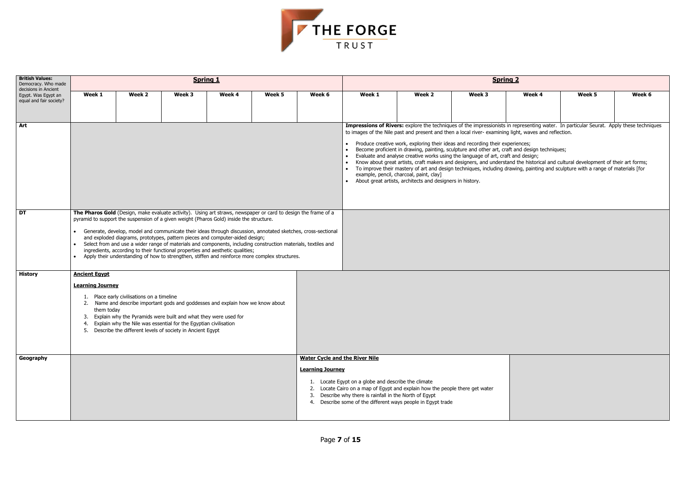| $\overline{\mathbf{2}}$    |                                                                 |        |  |  |  |  |  |  |  |
|----------------------------|-----------------------------------------------------------------|--------|--|--|--|--|--|--|--|
| Week 4                     | Week 5                                                          | Week 6 |  |  |  |  |  |  |  |
| tht, waves and reflection. | epresenting water. In particular Seurat. Apply these techniques |        |  |  |  |  |  |  |  |



| <b>British Values:</b><br>Democracy. Who made<br>decisions in Ancient |                                                                                                                                                                                                                                                                                                                                                                                                                                                                                                                                                                                                                                                                                                                                          |                                                                                                                                                                                                                                                                                                                                         | <b>Spring 1</b> |        |        |        | <b>Spring 2</b>                                                                                                                                         |                                                                                                                                                                                                                                                                                                                                                                                                                                                                                                                           |        |        |        |        |  |
|-----------------------------------------------------------------------|------------------------------------------------------------------------------------------------------------------------------------------------------------------------------------------------------------------------------------------------------------------------------------------------------------------------------------------------------------------------------------------------------------------------------------------------------------------------------------------------------------------------------------------------------------------------------------------------------------------------------------------------------------------------------------------------------------------------------------------|-----------------------------------------------------------------------------------------------------------------------------------------------------------------------------------------------------------------------------------------------------------------------------------------------------------------------------------------|-----------------|--------|--------|--------|---------------------------------------------------------------------------------------------------------------------------------------------------------|---------------------------------------------------------------------------------------------------------------------------------------------------------------------------------------------------------------------------------------------------------------------------------------------------------------------------------------------------------------------------------------------------------------------------------------------------------------------------------------------------------------------------|--------|--------|--------|--------|--|
| Egypt. Was Egypt an<br>equal and fair society?                        | Week 1                                                                                                                                                                                                                                                                                                                                                                                                                                                                                                                                                                                                                                                                                                                                   | Week 2                                                                                                                                                                                                                                                                                                                                  | Week 3          | Week 4 | Week 5 | Week 6 | Week 1                                                                                                                                                  | Week 2                                                                                                                                                                                                                                                                                                                                                                                                                                                                                                                    | Week 3 | Week 4 | Week 5 | Week 6 |  |
| Art                                                                   |                                                                                                                                                                                                                                                                                                                                                                                                                                                                                                                                                                                                                                                                                                                                          |                                                                                                                                                                                                                                                                                                                                         |                 |        |        |        |                                                                                                                                                         | Impressions of Rivers: explore the techniques of the impressionists in representing water. In particular Seurat. Apply these techniques<br>to images of the Nile past and present and then a local river-examining light, waves and reflection.<br>• Produce creative work, exploring their ideas and recording their experiences;<br>Become proficient in drawing, painting, sculpture and other art, craft and design techniques;<br>• Evaluate and analyse creative works using the language of art, craft and design; |        |        |        |        |  |
|                                                                       |                                                                                                                                                                                                                                                                                                                                                                                                                                                                                                                                                                                                                                                                                                                                          |                                                                                                                                                                                                                                                                                                                                         |                 |        |        |        |                                                                                                                                                         | • Know about great artists, craft makers and designers, and understand the historical and cultural development of their art forms;<br>• To improve their mastery of art and design techniques, including drawing, painting and sculpture with a range of materials [for<br>example, pencil, charcoal, paint, clay]<br>• About great artists, architects and designers in history.                                                                                                                                         |        |        |        |        |  |
| DT                                                                    | The Pharos Gold (Design, make evaluate activity). Using art straws, newspaper or card to design the frame of a<br>pyramid to support the suspension of a given weight (Pharos Gold) inside the structure.<br>Generate, develop, model and communicate their ideas through discussion, annotated sketches, cross-sectional<br>and exploded diagrams, prototypes, pattern pieces and computer-aided design;<br>Select from and use a wider range of materials and components, including construction materials, textiles and<br>$\bullet$<br>ingredients, according to their functional properties and aesthetic qualities;<br>Apply their understanding of how to strengthen, stiffen and reinforce more complex structures.<br>$\bullet$ |                                                                                                                                                                                                                                                                                                                                         |                 |        |        |        |                                                                                                                                                         |                                                                                                                                                                                                                                                                                                                                                                                                                                                                                                                           |        |        |        |        |  |
| <b>History</b>                                                        | <b>Ancient Egypt</b><br><b>Learning Journey</b><br>them today                                                                                                                                                                                                                                                                                                                                                                                                                                                                                                                                                                                                                                                                            | 1. Place early civilisations on a timeline<br>2. Name and describe important gods and goddesses and explain how we know about<br>Explain why the Pyramids were built and what they were used for<br>4. Explain why the Nile was essential for the Egyptian civilisation<br>5. Describe the different levels of society in Ancient Egypt |                 |        |        |        |                                                                                                                                                         |                                                                                                                                                                                                                                                                                                                                                                                                                                                                                                                           |        |        |        |        |  |
| Geography                                                             | <b>Learning Journey</b>                                                                                                                                                                                                                                                                                                                                                                                                                                                                                                                                                                                                                                                                                                                  |                                                                                                                                                                                                                                                                                                                                         |                 |        |        |        | <b>Water Cycle and the River Nile</b><br>1. Locate Egypt on a globe and describe the climate<br>3. Describe why there is rainfall in the North of Egypt | 2. Locate Cairo on a map of Egypt and explain how the people there get water<br>4. Describe some of the different ways people in Egypt trade                                                                                                                                                                                                                                                                                                                                                                              |        |        |        |        |  |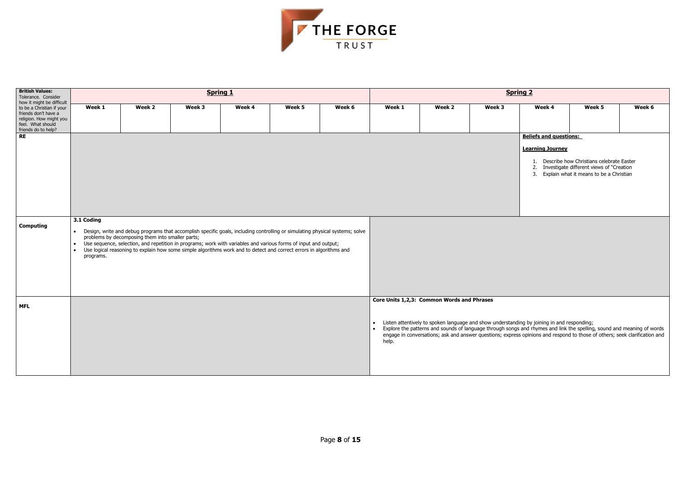| ring 2   |                               |                                                                                      |        |
|----------|-------------------------------|--------------------------------------------------------------------------------------|--------|
|          | Week 4                        | Week 5                                                                               | Week 6 |
|          |                               |                                                                                      |        |
|          | <b>Beliefs and questions:</b> |                                                                                      |        |
|          | <b>Learning Journey</b>       |                                                                                      |        |
| 1.       |                               | Describe how Christians celebrate Easter                                             |        |
| 2.<br>3. |                               | Investigate different views of "Creation"<br>Explain what it means to be a Christian |        |
|          |                               |                                                                                      |        |
|          |                               |                                                                                      |        |
|          |                               |                                                                                      |        |
|          |                               |                                                                                      |        |



| <b>British Values:</b><br>Tolerance. Consider                                                                                                         |                                                                |                                                                                                                                                                                                                                                                                                                                                                                                                            | <b>Spring 1</b> |        |        |        | <b>Spring 2</b> |                                            |        |                                                                                                                                                                                                                                                                                                                                                        |                                                                                                                                          |        |  |  |
|-------------------------------------------------------------------------------------------------------------------------------------------------------|----------------------------------------------------------------|----------------------------------------------------------------------------------------------------------------------------------------------------------------------------------------------------------------------------------------------------------------------------------------------------------------------------------------------------------------------------------------------------------------------------|-----------------|--------|--------|--------|-----------------|--------------------------------------------|--------|--------------------------------------------------------------------------------------------------------------------------------------------------------------------------------------------------------------------------------------------------------------------------------------------------------------------------------------------------------|------------------------------------------------------------------------------------------------------------------------------------------|--------|--|--|
| how it might be difficult<br>to be a Christian if your<br>friends don't have a<br>religion. How might you<br>feel. What should<br>friends do to help? | Week 1                                                         | Week 2                                                                                                                                                                                                                                                                                                                                                                                                                     | Week 3          | Week 4 | Week 5 | Week 6 | Week 1          | Week 2                                     | Week 3 | Week 4                                                                                                                                                                                                                                                                                                                                                 | Week 5                                                                                                                                   | Week 6 |  |  |
| <b>RE</b><br><b>Computing</b>                                                                                                                         | 3.1 Coding<br>$\bullet$<br>$\bullet$<br>$\bullet$<br>programs. | Design, write and debug programs that accomplish specific goals, including controlling or simulating physical systems; solve<br>problems by decomposing them into smaller parts;<br>Use sequence, selection, and repetition in programs; work with variables and various forms of input and output;<br>Use logical reasoning to explain how some simple algorithms work and to detect and correct errors in algorithms and |                 |        |        |        |                 |                                            |        | <b>Beliefs and questions:</b><br><b>Learning Journey</b>                                                                                                                                                                                                                                                                                               | 1. Describe how Christians celebrate Easter<br>2. Investigate different views of "Creation<br>3. Explain what it means to be a Christian |        |  |  |
| <b>MFL</b>                                                                                                                                            |                                                                |                                                                                                                                                                                                                                                                                                                                                                                                                            |                 |        |        |        | help.           | Core Units 1,2,3: Common Words and Phrases |        | • Listen attentively to spoken language and show understanding by joining in and responding;<br>• Explore the patterns and sounds of language through songs and rhymes and link the spelling, sound and meaning of words<br>engage in conversations; ask and answer questions; express opinions and respond to those of others; seek clarification and |                                                                                                                                          |        |  |  |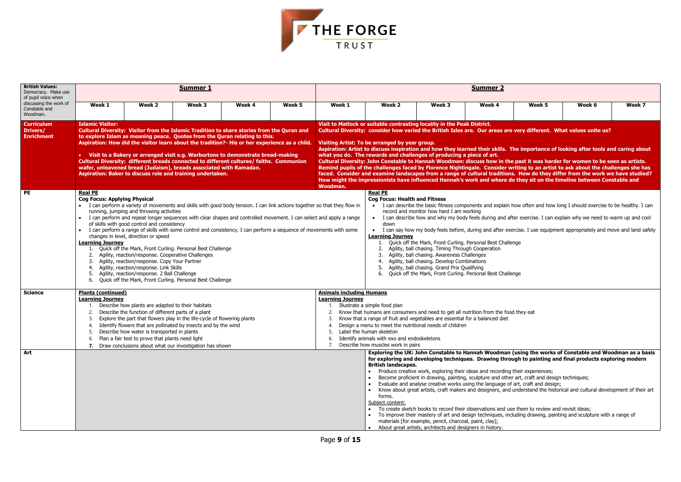| Week <sub>5</sub>                                                                | Week 6                                                                                                                                                                                                                 | Week 7 |
|----------------------------------------------------------------------------------|------------------------------------------------------------------------------------------------------------------------------------------------------------------------------------------------------------------------|--------|
|                                                                                  | very different. What values unite us?                                                                                                                                                                                  |        |
|                                                                                  | e importance of looking after tools and caring about                                                                                                                                                                   |        |
|                                                                                  | past it was harder for women to be seen as artists.<br>iting to an artist to ask about the challenges she has<br>. How do they differ from the work we have studied?<br>they sit on the timeline between Constable and |        |
|                                                                                  | ow often and how long I should exercise to be healthy. I can                                                                                                                                                           |        |
|                                                                                  | er exercise. I can explain why we need to warm up and cool                                                                                                                                                             |        |
|                                                                                  | cise. I use equipment appropriately and move and land safely                                                                                                                                                           |        |
| ıge                                                                              |                                                                                                                                                                                                                        |        |
|                                                                                  |                                                                                                                                                                                                                        |        |
| ıge                                                                              |                                                                                                                                                                                                                        |        |
|                                                                                  |                                                                                                                                                                                                                        |        |
| they eat                                                                         |                                                                                                                                                                                                                        |        |
|                                                                                  |                                                                                                                                                                                                                        |        |
|                                                                                  |                                                                                                                                                                                                                        |        |
|                                                                                  | using the works of Constable and Woodman as a basis<br>gh to painting and final products exploring modern                                                                                                              |        |
| heir experiences;<br>art, craft and design techniques;<br>art, craft and design; | inderstand the historical and cultural development of their art                                                                                                                                                        |        |
| them to review and revisit ideas;                                                | uding drawing, painting and sculpture with a range of                                                                                                                                                                  |        |



| <b>British Values:</b><br>Democracy. Make use<br>of pupil voice when |                                                                                                                                                                                                                                                                                                                                                                                                                                                                                                                                                                                                                          |                                                                                                                                                                                                                                                                                                                                      | <b>Summer 1</b>                                                                                                                                                                                                                                                                                                                                                                                                                                                                                            |        |        | <b>Summer 2</b>                                                                                                                                                                                                                                                                                                                                                                                                                                                       |                                                                                                                                                                                                                                                                                                                                                                                                                                                                                                                                                                                                                                                                                                                                                                                                                                                                                                                                                                                                           |                                                                                                                                                                                                                                                                                                                                                                                                                                                                                             |        |        |                                                                                                                                                                                                                                                                                                                                                                                                                                                                        |        |  |  |
|----------------------------------------------------------------------|--------------------------------------------------------------------------------------------------------------------------------------------------------------------------------------------------------------------------------------------------------------------------------------------------------------------------------------------------------------------------------------------------------------------------------------------------------------------------------------------------------------------------------------------------------------------------------------------------------------------------|--------------------------------------------------------------------------------------------------------------------------------------------------------------------------------------------------------------------------------------------------------------------------------------------------------------------------------------|------------------------------------------------------------------------------------------------------------------------------------------------------------------------------------------------------------------------------------------------------------------------------------------------------------------------------------------------------------------------------------------------------------------------------------------------------------------------------------------------------------|--------|--------|-----------------------------------------------------------------------------------------------------------------------------------------------------------------------------------------------------------------------------------------------------------------------------------------------------------------------------------------------------------------------------------------------------------------------------------------------------------------------|-----------------------------------------------------------------------------------------------------------------------------------------------------------------------------------------------------------------------------------------------------------------------------------------------------------------------------------------------------------------------------------------------------------------------------------------------------------------------------------------------------------------------------------------------------------------------------------------------------------------------------------------------------------------------------------------------------------------------------------------------------------------------------------------------------------------------------------------------------------------------------------------------------------------------------------------------------------------------------------------------------------|---------------------------------------------------------------------------------------------------------------------------------------------------------------------------------------------------------------------------------------------------------------------------------------------------------------------------------------------------------------------------------------------------------------------------------------------------------------------------------------------|--------|--------|------------------------------------------------------------------------------------------------------------------------------------------------------------------------------------------------------------------------------------------------------------------------------------------------------------------------------------------------------------------------------------------------------------------------------------------------------------------------|--------|--|--|
| discussing the work of<br>Constable and<br>Woodman.                  | Week 1                                                                                                                                                                                                                                                                                                                                                                                                                                                                                                                                                                                                                   | Week 2                                                                                                                                                                                                                                                                                                                               | Week 3                                                                                                                                                                                                                                                                                                                                                                                                                                                                                                     | Week 4 | Week 5 | Week 1                                                                                                                                                                                                                                                                                                                                                                                                                                                                | Week 2                                                                                                                                                                                                                                                                                                                                                                                                                                                                                                                                                                                                                                                                                                                                                                                                                                                                                                                                                                                                    | Week 3                                                                                                                                                                                                                                                                                                                                                                                                                                                                                      | Week 4 | Week 5 | Week 6                                                                                                                                                                                                                                                                                                                                                                                                                                                                 | Week 7 |  |  |
| <b>Curriculum</b><br>Drivers/<br><b>Enrichment</b>                   | <b>Islamic Visitor:</b><br>Cultural Diversity: Visitor from the Islamic Tradition to share stories from the Quran and<br>to explore Islam as meaning peace. Quotes from the Quran relating to this.<br>Aspiration: How did the visitor learn about the tradition?- His or her experience as a child.<br>• Visit to a Bakery or arranged visit e.g. Warburtons to demonstrate bread-making<br>Cultural Diversity: different breads connected to different cultures/ faiths. Communion<br>wafer, unleavened bread (Judaism), breads associated with Ramadan.<br>Aspiration: Baker to discuss role and training undertaken. |                                                                                                                                                                                                                                                                                                                                      |                                                                                                                                                                                                                                                                                                                                                                                                                                                                                                            |        |        |                                                                                                                                                                                                                                                                                                                                                                                                                                                                       | Visit to Matlock or suitable contrasting locality in the Peak District.<br>Cultural Diversity: consider how varied the British Isles are. Our areas are very different. What values unite us?<br>Visiting Artist: To be arranged by year group.<br>Aspiration: Artist to discuss inspiration and how they learned their skills. The importance of looking after tools and caring about<br>what you do. The rewards and challenges of producing a piece of art.<br>Cultural Diversity: John Constable to Hannah Woodman: discuss how in the past it was harder for women to be seen as artists.<br>Remind pupils of the challenges faced by Florence Nightingale. Consider writing to an artist to ask about the challenges she has<br>faced. Consider and examine landscapes from a range of cultural traditions. How do they differ from the work we have studied?<br>How might the impressionists have influenced Hannah's work and where do they sit on the timeline between Constable and<br>Woodman. |                                                                                                                                                                                                                                                                                                                                                                                                                                                                                             |        |        |                                                                                                                                                                                                                                                                                                                                                                                                                                                                        |        |  |  |
| PE                                                                   | <b>Real PE</b><br><b>Cog Focus: Applying Physical</b><br><b>Learning Journey</b><br>5.                                                                                                                                                                                                                                                                                                                                                                                                                                                                                                                                   | running, jumping and throwing activities<br>of skills with good control and consistency<br>changes in level, direction or speed<br>Agility, reaction/response. Cooperative Challenges<br>Agility, reaction/response. Copy Your Partner<br>4. Agility, reaction/response. Link Skills<br>Agility, reaction/response. 2 Ball Challenge | • I can perform a variety of movements and skills with good body tension. I can link actions together so that they flow in<br>• I can perform and repeat longer sequences with clear shapes and controlled movement. I can select and apply a range<br>• I can perform a range of skills with some control and consistency. I can perform a sequence of movements with some<br>Quick off the Mark, Front Curling. Personal Best Challenge<br>6. Quick off the Mark, Front Curling. Personal Best Challenge |        |        |                                                                                                                                                                                                                                                                                                                                                                                                                                                                       | <b>Real PE</b><br><b>Cog Focus: Health and Fitness</b><br>I can describe the basic fitness components and explain how often and how long I should exercise to be healthy. I can<br>record and monitor how hard I am working<br>I can describe how and why my body feels during and after exercise. I can explain why we need to warm up and cool<br>down<br>I can say how my body feels before, during and after exercise. I use equipment appropriately and move and land safely<br><b>Learning Journey</b><br>1. Quick off the Mark, Front Curling. Personal Best Challenge<br>Agility, ball chasing. Timing Through Cooperation<br>Agility, ball chasing. Awareness Challenges<br>Agility, ball chasing. Develop Combinations<br>Agility, ball chasing. Grand Prix Qualifying<br>Quick off the Mark, Front Curling. Personal Best Challenge<br>6.                                                                                                                                                      |                                                                                                                                                                                                                                                                                                                                                                                                                                                                                             |        |        |                                                                                                                                                                                                                                                                                                                                                                                                                                                                        |        |  |  |
| <b>Science</b>                                                       | <b>Plants (continued)</b><br><b>Learning Journey</b><br>2.<br>3.<br>4.                                                                                                                                                                                                                                                                                                                                                                                                                                                                                                                                                   | Describe how plants are adapted to their habitats<br>Describe the function of different parts of a plant<br>5. Describe how water is transported in plants<br>Plan a fair test to prove that plants need light                                                                                                                       | Explore the part that flowers play in the life-cycle of flowering plants<br>Identify flowers that are pollinated by insects and by the wind<br>7. Draw conclusions about what our investigation has shown                                                                                                                                                                                                                                                                                                  |        |        | <b>Animals including Humans</b><br><b>Learning Journey</b><br>Illustrate a simple food plan<br>Know that humans are consumers and need to get all nutrition from the food they eat<br>2.<br>Know that a range of fruit and vegetables are essential for a balanced diet<br>3.<br>Design a menu to meet the nutritional needs of children<br>Label the human skeleton<br>5.<br>Identify animals with exo and endoskeletons<br>ხ.<br>Describe how muscles work in pairs |                                                                                                                                                                                                                                                                                                                                                                                                                                                                                                                                                                                                                                                                                                                                                                                                                                                                                                                                                                                                           |                                                                                                                                                                                                                                                                                                                                                                                                                                                                                             |        |        |                                                                                                                                                                                                                                                                                                                                                                                                                                                                        |        |  |  |
| Art                                                                  |                                                                                                                                                                                                                                                                                                                                                                                                                                                                                                                                                                                                                          |                                                                                                                                                                                                                                                                                                                                      |                                                                                                                                                                                                                                                                                                                                                                                                                                                                                                            |        |        |                                                                                                                                                                                                                                                                                                                                                                                                                                                                       | <b>British landscapes.</b><br>forms.<br>Subject content:                                                                                                                                                                                                                                                                                                                                                                                                                                                                                                                                                                                                                                                                                                                                                                                                                                                                                                                                                  | Produce creative work, exploring their ideas and recording their experiences;<br>Become proficient in drawing, painting, sculpture and other art, craft and design techniques;<br>Evaluate and analyse creative works using the language of art, craft and design;<br>To create sketch books to record their observations and use them to review and revisit ideas;<br>materials [for example, pencil, charcoal, paint, clay];<br>About great artists, architects and designers in history. |        |        | Exploring the UK: John Constable to Hannah Woodman (using the works of Constable and Woodman as a basis<br>for exploring and developing techniques. Drawing through to painting and final products exploring modern<br>• Know about great artists, craft makers and designers, and understand the historical and cultural development of their art<br>To improve their mastery of art and design techniques, including drawing, painting and sculpture with a range of |        |  |  |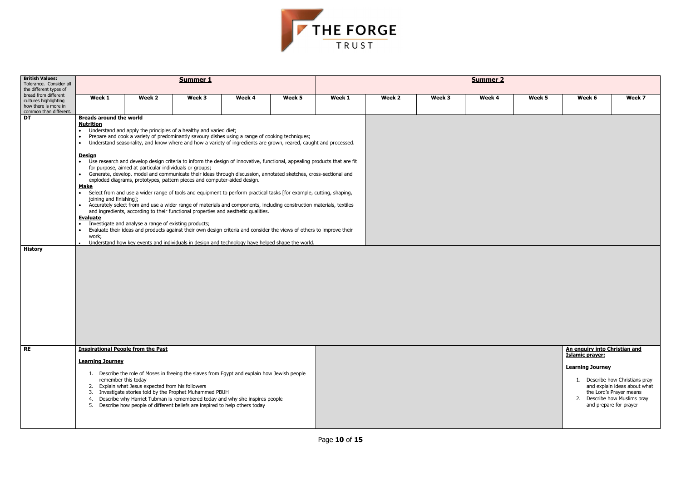

| <b>British Values:</b><br>Tolerance. Consider all<br>the different types of                     |                                                                                                                                           |                                                                                                                       | <b>Summer 1</b>                                                                                                                                                                                                                                                                                                                                                                                                                                                                                                                                                                                                                                                                                                                                                                                                                                                                                                                                                                                                                                                                                                                                                                                 |        |        | <b>Summer 2</b> |        |        |        |        |                                                                                                                                                   |                                                                                |  |  |
|-------------------------------------------------------------------------------------------------|-------------------------------------------------------------------------------------------------------------------------------------------|-----------------------------------------------------------------------------------------------------------------------|-------------------------------------------------------------------------------------------------------------------------------------------------------------------------------------------------------------------------------------------------------------------------------------------------------------------------------------------------------------------------------------------------------------------------------------------------------------------------------------------------------------------------------------------------------------------------------------------------------------------------------------------------------------------------------------------------------------------------------------------------------------------------------------------------------------------------------------------------------------------------------------------------------------------------------------------------------------------------------------------------------------------------------------------------------------------------------------------------------------------------------------------------------------------------------------------------|--------|--------|-----------------|--------|--------|--------|--------|---------------------------------------------------------------------------------------------------------------------------------------------------|--------------------------------------------------------------------------------|--|--|
| bread from different<br>cultures highlighting<br>how there is more in<br>common than different. | Week 1                                                                                                                                    | Week 2                                                                                                                | Week 3                                                                                                                                                                                                                                                                                                                                                                                                                                                                                                                                                                                                                                                                                                                                                                                                                                                                                                                                                                                                                                                                                                                                                                                          | Week 4 | Week 5 | Week 1          | Week 2 | Week 3 | Week 4 | Week 5 | Week 6                                                                                                                                            | Week 7                                                                         |  |  |
| $\overline{DT}$<br><b>History</b>                                                               | <b>Breads around the world</b><br><b>Nutrition</b><br><u>Design</u><br><b>Make</b><br>joining and finishing];<br><b>Evaluate</b><br>work; | for purpose, aimed at particular individuals or groups;<br>Investigate and analyse a range of existing products;      | • Understand and apply the principles of a healthy and varied diet;<br>Prepare and cook a variety of predominantly savoury dishes using a range of cooking techniques;<br>Understand seasonality, and know where and how a variety of ingredients are grown, reared, caught and processed.<br>• Use research and develop design criteria to inform the design of innovative, functional, appealing products that are fit<br>• Generate, develop, model and communicate their ideas through discussion, annotated sketches, cross-sectional and<br>exploded diagrams, prototypes, pattern pieces and computer-aided design.<br>• Select from and use a wider range of tools and equipment to perform practical tasks [for example, cutting, shaping,<br>• Accurately select from and use a wider range of materials and components, including construction materials, textiles<br>and ingredients, according to their functional properties and aesthetic qualities.<br>Evaluate their ideas and products against their own design criteria and consider the views of others to improve their<br>Understand how key events and individuals in design and technology have helped shape the world. |        |        |                 |        |        |        |        |                                                                                                                                                   |                                                                                |  |  |
| RE                                                                                              | <b>Learning Journey</b>                                                                                                                   | <b>Inspirational People from the Past</b><br>remember this today<br>2. Explain what Jesus expected from his followers | 1. Describe the role of Moses in freeing the slaves from Egypt and explain how Jewish people<br>3. Investigate stories told by the Prophet Muhammed PBUH<br>4. Describe why Harriet Tubman is remembered today and why she inspires people<br>5. Describe how people of different beliefs are inspired to help others today                                                                                                                                                                                                                                                                                                                                                                                                                                                                                                                                                                                                                                                                                                                                                                                                                                                                     |        |        |                 |        |        |        |        | An enguiry into Christian and<br><b>Islamic prayer:</b><br><b>Learning Journey</b><br>1. Describe how Christians p<br>2. Describe how Muslims pra | and explain ideas about w<br>the Lord's Prayer means<br>and prepare for prayer |  |  |

| Week 5 | Week 6                                           | Week 7                                                                                  |
|--------|--------------------------------------------------|-----------------------------------------------------------------------------------------|
|        |                                                  |                                                                                         |
|        |                                                  |                                                                                         |
|        |                                                  |                                                                                         |
|        |                                                  |                                                                                         |
|        |                                                  |                                                                                         |
|        |                                                  |                                                                                         |
|        |                                                  |                                                                                         |
|        |                                                  |                                                                                         |
|        |                                                  |                                                                                         |
|        |                                                  |                                                                                         |
|        |                                                  |                                                                                         |
|        |                                                  |                                                                                         |
|        | An enquiry into Christian and<br>Islamic prayer: |                                                                                         |
|        |                                                  |                                                                                         |
|        | <b>Learning Journey</b>                          |                                                                                         |
|        | 1.                                               | Describe how Christians pray<br>and explain ideas about what<br>the Lord's Prayer means |
|        | 2.                                               | Describe how Muslims pray<br>and prepare for prayer                                     |
|        |                                                  |                                                                                         |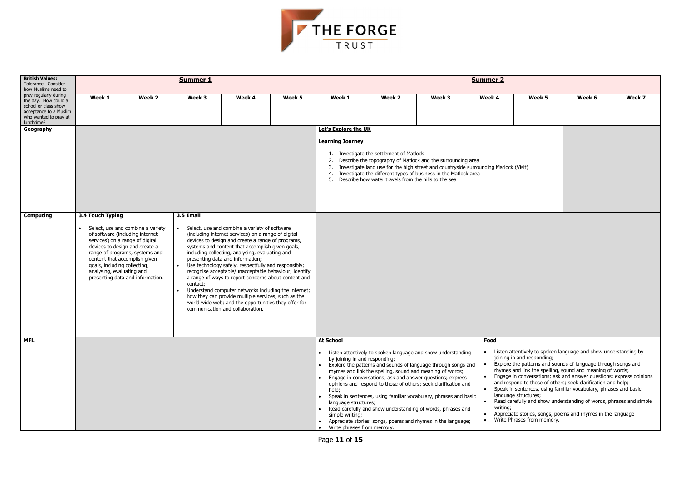

| <b>British Values:</b><br>Tolerance. Consider                                                                                                                 |                                                                                                                                                                                                                                                                                                                                                                                                                                                                                                                                                                                                                                                                                                                                                                                                                                                                                                                                                                                                                                                                       |        | <b>Summer 1</b> |        |        | <b>Summer 2</b>                                                                                                                                                                                                                                                                                                                                                                                                                                                                                                                                                                                                                                                                                                                                                                                                                                                                                                                                                                                                                                                                                                                                                                                                                                                                                    |        |        |        |        |        |        |  |  |
|---------------------------------------------------------------------------------------------------------------------------------------------------------------|-----------------------------------------------------------------------------------------------------------------------------------------------------------------------------------------------------------------------------------------------------------------------------------------------------------------------------------------------------------------------------------------------------------------------------------------------------------------------------------------------------------------------------------------------------------------------------------------------------------------------------------------------------------------------------------------------------------------------------------------------------------------------------------------------------------------------------------------------------------------------------------------------------------------------------------------------------------------------------------------------------------------------------------------------------------------------|--------|-----------------|--------|--------|----------------------------------------------------------------------------------------------------------------------------------------------------------------------------------------------------------------------------------------------------------------------------------------------------------------------------------------------------------------------------------------------------------------------------------------------------------------------------------------------------------------------------------------------------------------------------------------------------------------------------------------------------------------------------------------------------------------------------------------------------------------------------------------------------------------------------------------------------------------------------------------------------------------------------------------------------------------------------------------------------------------------------------------------------------------------------------------------------------------------------------------------------------------------------------------------------------------------------------------------------------------------------------------------------|--------|--------|--------|--------|--------|--------|--|--|
| how Muslims need to<br>pray regularly during<br>the day. How could a<br>school or class show<br>acceptance to a Muslim<br>who wanted to pray at<br>lunchtime? | Week 1                                                                                                                                                                                                                                                                                                                                                                                                                                                                                                                                                                                                                                                                                                                                                                                                                                                                                                                                                                                                                                                                | Week 2 | Week 3          | Week 4 | Week 5 | Week 1                                                                                                                                                                                                                                                                                                                                                                                                                                                                                                                                                                                                                                                                                                                                                                                                                                                                                                                                                                                                                                                                                                                                                                                                                                                                                             | Week 2 | Week 3 | Week 4 | Week 5 | Week 6 | Week 7 |  |  |
| Geography                                                                                                                                                     |                                                                                                                                                                                                                                                                                                                                                                                                                                                                                                                                                                                                                                                                                                                                                                                                                                                                                                                                                                                                                                                                       |        |                 |        |        | Let's Explore the UK                                                                                                                                                                                                                                                                                                                                                                                                                                                                                                                                                                                                                                                                                                                                                                                                                                                                                                                                                                                                                                                                                                                                                                                                                                                                               |        |        |        |        |        |        |  |  |
|                                                                                                                                                               |                                                                                                                                                                                                                                                                                                                                                                                                                                                                                                                                                                                                                                                                                                                                                                                                                                                                                                                                                                                                                                                                       |        |                 |        |        | <b>Learning Journey</b>                                                                                                                                                                                                                                                                                                                                                                                                                                                                                                                                                                                                                                                                                                                                                                                                                                                                                                                                                                                                                                                                                                                                                                                                                                                                            |        |        |        |        |        |        |  |  |
|                                                                                                                                                               |                                                                                                                                                                                                                                                                                                                                                                                                                                                                                                                                                                                                                                                                                                                                                                                                                                                                                                                                                                                                                                                                       |        |                 |        |        | 1. Investigate the settlement of Matlock<br>Describe the topography of Matlock and the surrounding area<br>2.<br>Investigate land use for the high street and countryside surrounding Matlock (Visit)<br>3.<br>4. Investigate the different types of business in the Matlock area<br>5. Describe how water travels from the hills to the sea                                                                                                                                                                                                                                                                                                                                                                                                                                                                                                                                                                                                                                                                                                                                                                                                                                                                                                                                                       |        |        |        |        |        |        |  |  |
| <b>Computing</b>                                                                                                                                              | 3.4 Touch Typing<br>3.5 Email<br>• Select, use and combine a variety<br>Select, use and combine a variety of software<br>of software (including internet<br>(including internet services) on a range of digital<br>devices to design and create a range of programs,<br>services) on a range of digital<br>devices to design and create a<br>systems and content that accomplish given goals,<br>including collecting, analysing, evaluating and<br>range of programs, systems and<br>presenting data and information;<br>content that accomplish given<br>Use technology safely, respectfully and responsibly;<br>goals, including collecting,<br>$\bullet$<br>analysing, evaluating and<br>recognise acceptable/unacceptable behaviour; identify<br>presenting data and information.<br>a range of ways to report concerns about content and<br>contact;<br>Understand computer networks including the internet;<br>how they can provide multiple services, such as the<br>world wide web; and the opportunities they offer for<br>communication and collaboration. |        |                 |        |        |                                                                                                                                                                                                                                                                                                                                                                                                                                                                                                                                                                                                                                                                                                                                                                                                                                                                                                                                                                                                                                                                                                                                                                                                                                                                                                    |        |        |        |        |        |        |  |  |
| <b>MFL</b>                                                                                                                                                    |                                                                                                                                                                                                                                                                                                                                                                                                                                                                                                                                                                                                                                                                                                                                                                                                                                                                                                                                                                                                                                                                       |        |                 |        |        | <b>At School</b>                                                                                                                                                                                                                                                                                                                                                                                                                                                                                                                                                                                                                                                                                                                                                                                                                                                                                                                                                                                                                                                                                                                                                                                                                                                                                   |        |        | Food   |        |        |        |  |  |
|                                                                                                                                                               |                                                                                                                                                                                                                                                                                                                                                                                                                                                                                                                                                                                                                                                                                                                                                                                                                                                                                                                                                                                                                                                                       |        |                 |        |        | Listen attentively to spoken language and show understanding by<br>Listen attentively to spoken language and show understanding<br>joining in and responding;<br>by joining in and responding;<br>Explore the patterns and sounds of language through songs and<br>Explore the patterns and sounds of language through songs and<br>rhymes and link the spelling, sound and meaning of words;<br>rhymes and link the spelling, sound and meaning of words;<br>Engage in conversations; ask and answer questions; express opinions<br>Engage in conversations; ask and answer questions; express<br>and respond to those of others; seek clarification and help;<br>opinions and respond to those of others; seek clarification and<br>Speak in sentences, using familiar vocabulary, phrases and basic<br>help;<br>language structures;<br>Speak in sentences, using familiar vocabulary, phrases and basic<br>Read carefully and show understanding of words, phrases and simple<br>language structures;<br>writing;<br>Read carefully and show understanding of words, phrases and<br>Appreciate stories, songs, poems and rhymes in the language<br>simple writing;<br>Write Phrases from memory.<br>Appreciate stories, songs, poems and rhymes in the language;<br>Write phrases from memory. |        |        |        |        |        |        |  |  |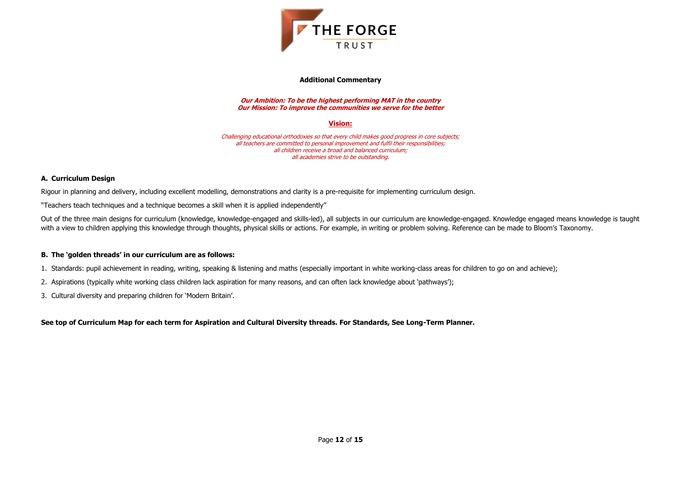

#### **Additional Commentary**

**Our Ambition: To be the highest performing MAT in the country Our Mission: To improve the communities we serve for the better**

### **Vision:**

Challenging educational orthodoxies so that every child makes good progress in core subjects; all teachers are committed to personal improvement and fulfil their responsibilities; all children receive a broad and balanced curriculum; all academies strive to be outstanding.

#### **A. Curriculum Design**

Rigour in planning and delivery, including excellent modelling, demonstrations and clarity is a pre-requisite for implementing curriculum design.

"Teachers teach techniques and a technique becomes a skill when it is applied independently"

Out of the three main designs for curriculum (knowledge, knowledge-engaged and skills-led), all subjects in our curriculum are knowledge-engaged. Knowledge engaged means knowledge is taught with a view to children applying this knowledge through thoughts, physical skills or actions. For example, in writing or problem solving. Reference can be made to Bloom's Taxonomy.

#### **B. The 'golden threads' in our curriculum are as follows:**

- 1. Standards: pupil achievement in reading, writing, speaking & listening and maths (especially important in white working-class areas for children to go on and achieve);
- 2. Aspirations (typically white working class children lack aspiration for many reasons, and can often lack knowledge about 'pathways');
- 3. Cultural diversity and preparing children for 'Modern Britain'.

**See top of Curriculum Map for each term for Aspiration and Cultural Diversity threads. For Standards, See Long-Term Planner.**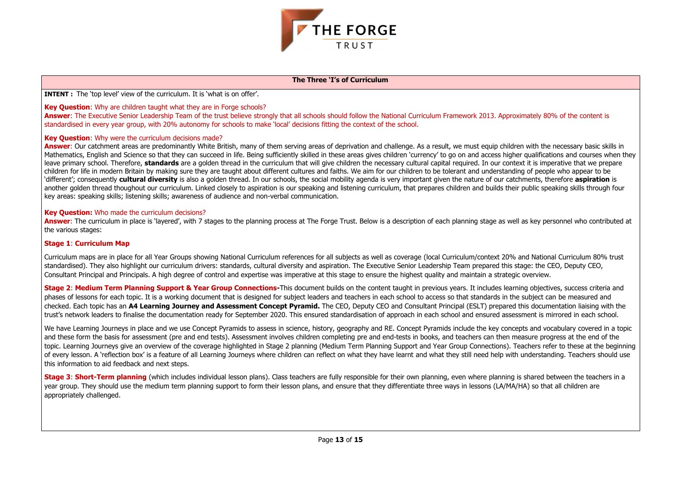

### **The Three 'I's of Curriculum**

**INTENT :** The 'top level' view of the curriculum. It is 'what is on offer'.

### **Key Question:** Why are children taught what they are in Forge schools?

Answer: The Executive Senior Leadership Team of the trust believe strongly that all schools should follow the National Curriculum Framework 2013. Approximately 80% of the content is standardised in every year group, with 20% autonomy for schools to make 'local' decisions fitting the context of the school.

### **Key Question**: Why were the curriculum decisions made?

Answer: Our catchment areas are predominantly White British, many of them serving areas of deprivation and challenge. As a result, we must equip children with the necessary basic skills in Mathematics, English and Science so that they can succeed in life. Being sufficiently skilled in these areas gives children 'currency' to go on and access higher qualifications and courses when they leave primary school. Therefore, **standards** are a golden thread in the curriculum that will give children the necessary cultural capital required. In our context it is imperative that we prepare children for life in modern Britain by making sure they are taught about different cultures and faiths. We aim for our children to be tolerant and understanding of people who appear to be 'different'; consequently **cultural diversity** is also a golden thread. In our schools, the social mobility agenda is very important given the nature of our catchments, therefore **aspiration** is another golden thread thoughout our curriculum. Linked closely to aspiration is our speaking and listening curriculum, that prepares children and builds their public speaking skills through four key areas: speaking skills; listening skills; awareness of audience and non-verbal communication.

**Answer:** The curriculum in place is 'layered', with 7 stages to the planning process at The Forge Trust. Below is a description of each planning stage as well as key personnel who contributed at the various stages:

**Stage 2: Medium Term Planning Support & Year Group Connections-**This document builds on the content taught in previous vears. It includes learning objectives, success criteria and phases of lessons for each topic. It is a working document that is designed for subject leaders and teachers in each school to access so that standards in the subject can be measured and checked. Each topic has an **A4 Learning Journey and Assessment Concept Pyramid.** The CEO, Deputy CEO and Consultant Principal (ESLT) prepared this documentation liaising with the trust's network leaders to finalise the documentation ready for September 2020. This ensured standardisation of approach in each school and ensured assessment is mirrored in each school.

### **Key Question:** Who made the curriculum decisions?

### **Stage 1**: **Curriculum Map**

We have Learning Journeys in place and we use Concept Pyramids to assess in science, history, geography and RE. Concept Pyramids include the key concepts and vocabulary covered in a topic and these form the basis for assessment (pre and end tests). Assessment involves children completing pre and end-tests in books, and teachers can then measure progress at the end of the topic. Learning Journeys give an overview of the coverage highlighted in Stage 2 planning (Medium Term Planning Support and Year Group Connections). Teachers refer to these at the beginning of every lesson. A 'reflection box' is a feature of all Learning Journeys where children can reflect on what they have learnt and what they still need help with understanding. Teachers should use this information to aid feedback and next steps.

**Stage 3: Short-Term planning** (which includes individual lesson plans). Class teachers are fully responsible for their own planning, even where planning is shared between the teachers in a year group. They should use the medium term planning support to form their lesson plans, and ensure that they differentiate three ways in lessons (LA/MA/HA) so that all children are appropriately challenged.

Curriculum maps are in place for all Year Groups showing National Curriculum references for all subjects as well as coverage (local Curriculum/context 20% and National Curriculum 80% trust standardised). They also highlight our curriculum drivers: standards, cultural diversity and aspiration. The Executive Senior Leadership Team prepared this stage: the CEO, Deputy CEO, Consultant Principal and Principals. A high degree of control and expertise was imperative at this stage to ensure the highest quality and maintain a strategic overview.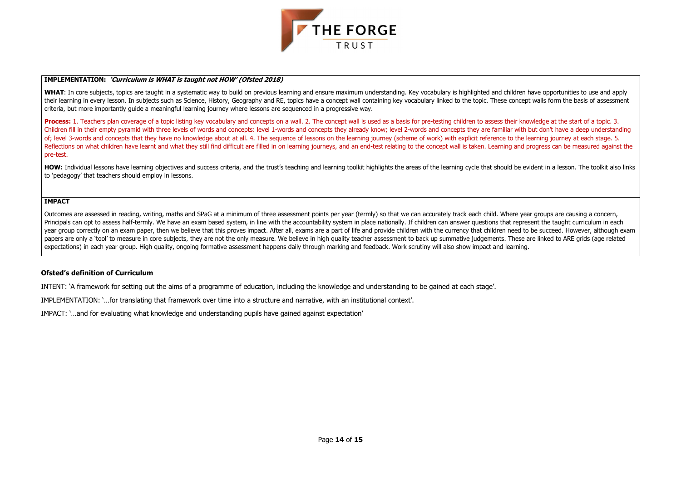

#### **IMPLEMENTATION: 'Curriculum is WHAT is taught not HOW' (Ofsted 2018)**

WHAT: In core subjects, topics are taught in a systematic way to build on previous learning and ensure maximum understanding. Key vocabulary is highlighted and children have opportunities to use and apply their learning in every lesson. In subjects such as Science, History, Geography and RE, topics have a concept wall containing key vocabulary linked to the topic. These concept walls form the basis of assessment criteria, but more importantly guide a meaningful learning journey where lessons are sequenced in a progressive way.

**Process:** 1. Teachers plan coverage of a topic listing key vocabulary and concepts on a wall. 2. The concept wall is used as a basis for pre-testing children to assess their knowledge at the start of a topic. 3. Children fill in their empty pyramid with three levels of words and concepts: level 1-words and concepts they already know; level 2-words and concepts they are familiar with but don't have a deep understanding of; level 3-words and concepts that they have no knowledge about at all. 4. The sequence of lessons on the learning journey (scheme of work) with explicit reference to the learning journey at each stage. 5. Reflections on what children have learnt and what they still find difficult are filled in on learning journeys, and an end-test relating to the concept wall is taken. Learning and progress can be measured against the pre-test.

HOW: Individual lessons have learning objectives and success criteria, and the trust's teaching and learning toolkit highlights the areas of the learning cycle that should be evident in a lesson. The toolkit also links to 'pedagogy' that teachers should employ in lessons.

Outcomes are assessed in reading, writing, maths and SPaG at a minimum of three assessment points per year (termly) so that we can accurately track each child. Where year groups are causing a concern, Principals can opt to assess half-termly. We have an exam based system, in line with the accountability system in place nationally. If children can answer questions that represent the taught curriculum in each year group correctly on an exam paper, then we believe that this proves impact. After all, exams are a part of life and provide children with the currency that children need to be succeed. However, although exam papers are only a 'tool' to measure in core subjects, they are not the only measure. We believe in high quality teacher assessment to back up summative judgements. These are linked to ARE grids (age related expectations) in each year group. High quality, ongoing formative assessment happens daily through marking and feedback. Work scrutiny will also show impact and learning.

#### **IMPACT**

#### **Ofsted's definition of Curriculum**

INTENT: 'A framework for setting out the aims of a programme of education, including the knowledge and understanding to be gained at each stage'.

IMPLEMENTATION: '…for translating that framework over time into a structure and narrative, with an institutional context'.

IMPACT: '…and for evaluating what knowledge and understanding pupils have gained against expectation'